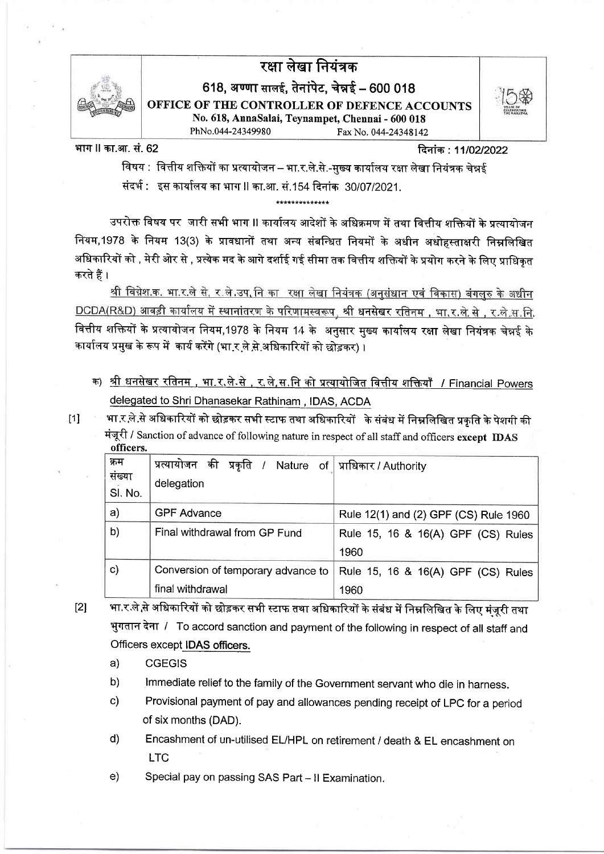

# रक्षा लेखा नियंत्रक

618, अण्णा सालई, तेनांपेट, चेन्नई - 600 018 OFFICE OF THE CONTROLLER OF DEFENCE ACCOUNTS

No. 618, AnnaSalai, Tevnampet, Chennai - 600 018 PhNo.044-24349980 Fax No. 044-24348142

भाग ॥ का.आ. सं. 62

दिनांक: 11/02/2022

विषय : वित्तीय शक्तियों का प्रत्यायोजन – भा.र.ले.से.-मुख्य कार्यालय रक्षा लेखा नियंत्रक चेन्नई संदर्भ : इस कार्यालय का भाग II का.आ. सं.154 दिनांक 30/07/2021.

उपरोक्त विषय पर जारी सभी भाग II कार्यालय आदेशों के अधिक्रमण में तथा वित्तीय शक्तियों के प्रत्यायोजन नियम,1978 के नियम 13(3) के प्रावधानों तथा अन्य संबन्धित नियमों के अधीन अधोहस्ताक्षरी निम्नलिखित अधिकारियों को , मेरी ओर से , प्रत्येक मद के आगे दर्शाई गई सीमा तक वित्तीय शक्तियों के प्रयोग करने के लिए प्राधिकृत करते हैं ।

<u>श्री विग्नेश.क. भा.र.ले से, र.ले.उप,नि का रक्षा लेखा नियंत्रक (अनुसंधान एवं विकास) बंगलुरु के अधीन</u> DCDA(R&D) आवड़ी कार्यालय में स्थानांतरण के परिणामस्वरूप, श्री धनसेखर रतिनम, भा,र.ले.से., र.ले.स.नि. वित्तीय शक्तियों के प्रत्यायोजन नियम,1978 के नियम 14 के अनुसार मुख्य कार्यालय रक्षा लेखा नियंत्रक चेन्नई के कार्यालय प्रमुख के रूप में कार्य करेंगे (भा र ले से अधिकारियों को छोड़कर) ।

- क) <u>श्री धनसेखर रतिनम , भा.र,</u>ले.से , <u>र,</u>ले.स.नि को प्रत्यायोजित वित्तीय शक्तियाँ / Financial Powers delegated to Shri Dhanasekar Rathinam, IDAS, ACDA
- $111$
- भा र ले से अधिकारियों को छोड़कर सभी स्टाफ तथा अधिकारियों के संबंध में निम्नलिखित प्रकृति के पेशगी की मंजूरी / Sanction of advance of following nature in respect of all staff and officers except IDAS officers.

| क्रम<br>संख्या | की प्रकृति / Nature of  प्राधिकार / Authority<br>प्रत्यायोजन |                                       |
|----------------|--------------------------------------------------------------|---------------------------------------|
| SI. No.        | delegation                                                   |                                       |
| a)             | <b>GPF Advance</b>                                           | Rule 12(1) and (2) GPF (CS) Rule 1960 |
| b)             | Final withdrawal from GP Fund                                | Rule 15, 16 & 16(A) GPF (CS) Rules    |
|                |                                                              | 1960                                  |
| $\mathsf{c})$  | Conversion of temporary advance to                           | Rule 15, 16 & 16(A) GPF (CS) Rules    |
|                | final withdrawal                                             | 1960                                  |

- भा.र ले,से अधिकारियों को छोड़कर सभी स्टाफ तथा अधिकारियों के संबंध में निम्नलिखित के लिए मंजरी तथा  $[2]$ भुगतान देना / To accord sanction and payment of the following in respect of all staff and Officers except IDAS officers.
	- **CGEGIS**  $a)$
	- $b)$ Immediate relief to the family of the Government servant who die in harness.
	- Provisional payment of pay and allowances pending receipt of LPC for a period  $\mathbf{C}$ of six months (DAD).
	- $d)$ Encashment of un-utilised EL/HPL on retirement / death & EL encashment on **LTC**
	- Special pay on passing SAS Part Il Examination.  $e)$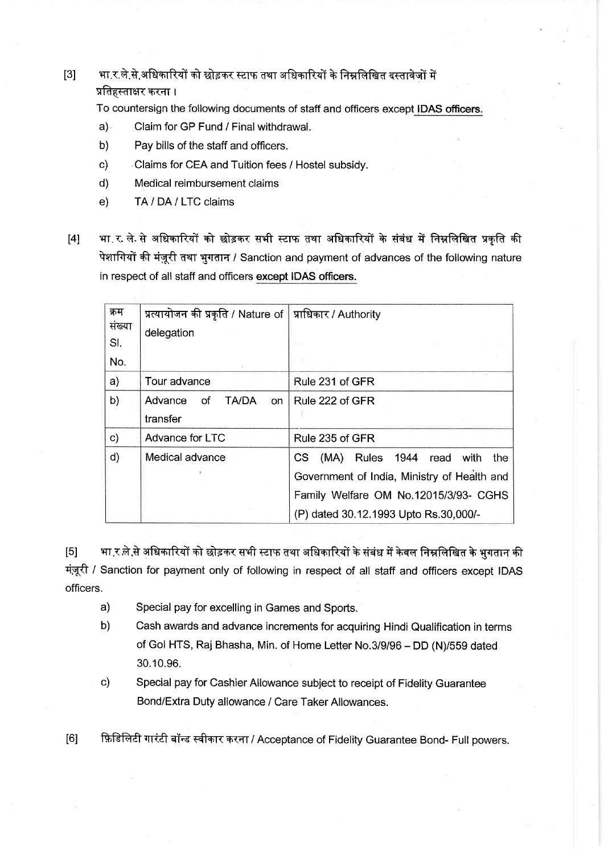# $\left[3\right]$  था.र.ले.से.अधिकारियों को छोड़कर स्टाफ तथा अधिकारियों के निम्नलिखित दस्तावेजों में प्रतिहस्ताक्षर करना ।

To countersign the following documents of staff and officers except IDAS officers.

- a) Claim for GP Fund / Final withdrawal.
- b) Pay bills of the staff and officers.
- c) Claims for CEA and Tuition fees / Hostel subsidy.
- d) Medical reimbursement claims
- e) TA / DA / LTC claims
- f4l भा. र. ले. से अधिकारियों को छोड़कर सभी स्टाफ तथा अधिकारियों के संबंध में निम्नलिखित प्रकृति की पेशागियों की मंज़ूरी तथा भुगतान / Sanction and payment of advances of the following nature in respect of all staff and officers except IDAS officers.

| क्रम   | प्रत्यायोजन की प्रकृति / Nature of $\vert$ प्राधिकार / Authority |                                             |
|--------|------------------------------------------------------------------|---------------------------------------------|
| संख्या | delegation                                                       |                                             |
| SI.    |                                                                  |                                             |
| No.    |                                                                  |                                             |
| a)     | Tour advance                                                     | Rule 231 of GFR                             |
| b)     | <b>TA/DA</b><br>Advance of<br>on                                 | Rule 222 of GFR                             |
|        | transfer                                                         |                                             |
| c)     | Advance for LTC                                                  | Rule 235 of GFR                             |
| d)     | Medical advance                                                  | Rules 1944 read with<br>CS.<br>(MA)<br>the  |
|        |                                                                  | Government of India, Ministry of Health and |
|        |                                                                  | Family Welfare OM No.12015/3/93- CGHS       |
|        |                                                                  | (P) dated 30.12.1993 Upto Rs.30,000/-       |

 $\left[ 5\right]$  भा र ले से अधिकारियों को छोड़कर सभी स्टाफ तथा अधिकारियों के संबंध में केवल निम्नलिखित के भगतान की मंज़ूरी / Sanction for payment only of following in respect of all staff and officers except IDAS officers.

- a) Special pay for excelling in Games and Sports.
- b) Cash awards and advance increments for acquiring Hindi Qualification in terms of Gol HTS, Raj Bhasha, Min. of Home Letter No.3/9/96 - DD (N)/559 dated 30.10.96.
- c) Special pay for Cashier Allowance subject to receipt of Fidelity Guarantee Bond/Extra Duty allowance / Care Taker Allowances.

[6] F़िहिलिटी गारंटी बॉन्ड स्वीकार करना / Acceptance of Fidelity Guarantee Bond- Full powers.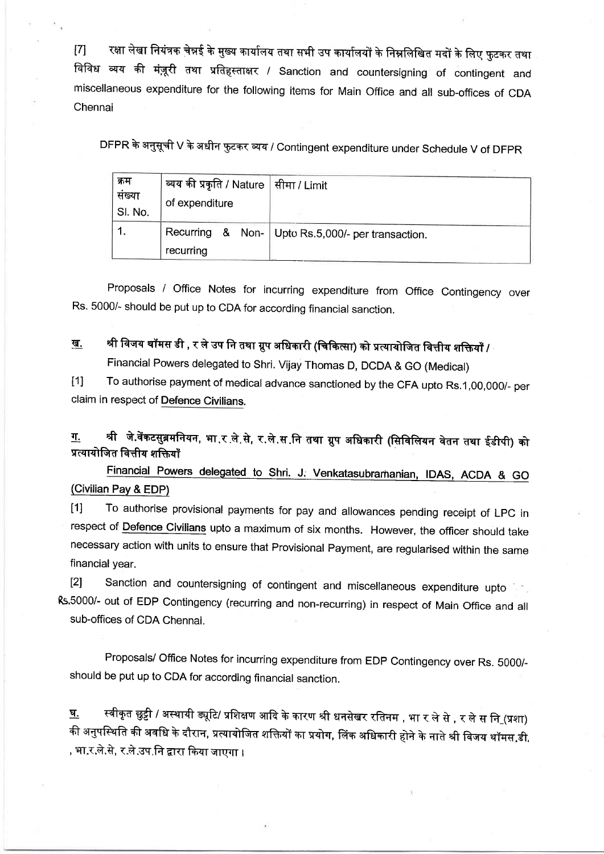[7] रक्षा लेखा नियंत्रक चेन्नई के मुख्य कार्यालय तथा सभी उप कार्यालयों के निम्नलिखित मदों के लिए फुटकर तथा विविध व्यय की मंज़ूरी तथा प्रतिहस्ताक्षर / Sanction and countersigning of contingent and miscellaneous expenditure for the following items for Main office and all sub-offices of cDA Chennai

DFPR के अनुसूची V के अधीन फुटकर व्यय / Contingent expenditure under Schedule V of DFPR

| क्रम<br>संख्या<br>SI. No. | , व्यय की प्रकृति / Nature   सीमा / Limit<br>of expenditure |                                                     |
|---------------------------|-------------------------------------------------------------|-----------------------------------------------------|
|                           | recurring                                                   | Recurring & Non-   Upto Rs.5,000/- per transaction. |

Proposals / Office Notes for incurring expenditure from Office Contingency over Rs. 5000/- should be put up to CDA for according financial sanction.

<u>ख.</u> श्री विजय थॉमस डी , र ले उप नि तथा ग्रुप अधिकारी (चिकित्सा) को प्रत्यायोजित वित्तीय शक्तियाँ /

Financial Powers delegated to shri. Vijay Thomas D, DCDA & Go (Medical)

t1l To authorise payment of medical advance sanctioned by the CFA upto Rs.1,00,000/- per claim in respect of Defence Civilians.

<u>ग.</u> श्री जे.वेंकटसुब्रमनियन, भा र ले से, र ले स नि तथा ग्रुप अधिकारी (सिविलियन वेतन तथा ईडीपी) को<br>प्रत्यायोजित वित्तीय शक्तियाँ

Financial Powers delegated to Shri. J. Venkatasubramanian, IDAS, ACDA & GO (Civilian Pay & EDP)

t1l To authorise provisional payments for pay and allowances pending receipt of LpC in respect of Defence Civilians upto a maximum of six months. However, the officer should take necessary action with units to ensure that Provisional Payment, are regularised within the same financial year.

[2] Sanction and countersigning of contingent and miscellaneous expenditure upto R5'5000/- out of EDP Contingency (recurring and non-recurring) in respect of Main Office and all sub-offices of CDA Chennai.

Proposals/ Office Notes for incurring expenditure from EDP Contingency over Rs. 5000/should be put up to CDA for according financial sanction.

<u>घ.</u> स्वीकृत छुट्टी / अस्थायी ड्यूटि/ प्रशिक्षण आदि के कारण श्री धनसेखर रतिनम , भा र ले से , र ले स नि\_(प्रशा) की अनुपस्थिति की अवधि के दौरान, प्रत्यायोजित शक्तियों का प्रयोग, लिंक अधिकारी होने के नाते श्री विजय थॉमस,डी, , भा.र.ले.से, र.ले.उप.नि द्वारा किया जाएगा ।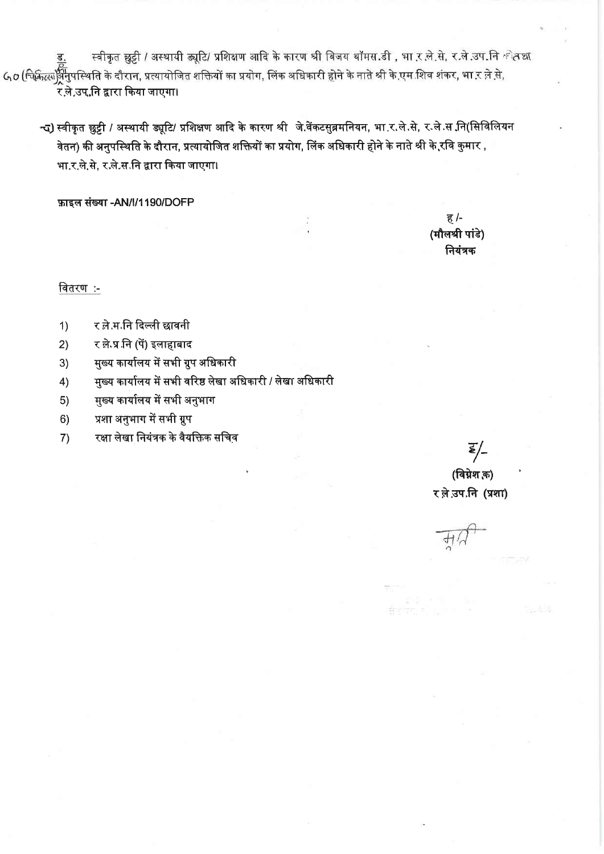स्वीकृत छुट्टी / अस्थायी ड्यूटि/ प्रशिक्षण आदि के कारण श्री विजय थॉमस.डी , भा र ले.से, र ले.उप.नि कोतछा Go (चिकिल्ला<mark>ईम</mark>िपस्थिति के दौरान, प्रत्यायोजित शक्तियों का प्रयोग, लिंक अधिकारी होने के नाते श्री के एम शिव शंकर, भा र ले से, ्<br>र.ले.उप.नि द्वारा किया जाएगा।

न्द) स्वीकृत छुट्टी / अस्थायी ड्यूटि/ प्रशिक्षण आदि के कारण श्री जे.वेंकटसुब्रमनियन, भा.र.ले.से, र.ले.स नि(सिविलियन वेतन) की अनुपस्थिति के दौरान, प्रत्यायोजित शक्तियों का प्रयोग, लिंक अधिकारी होने के नाते श्री के रवि कुमार , भा.र.ले.से. र.ले.स.नि द्वारा किया जाएगा।

फ़ाइल संख्या -AN/l/1190/DOFP

ह $/$ -(मौलश्री पांडे) नियंत्रक

वितरण:-

- र ले.म.नि दिल्ली छावनी  $1)$
- $2)$ र ले.प्र.नि (पें) इलाहाबाद
- मुख्य कार्यालय में सभी ग्रुप अधिकारी  $3)$
- मुख्य कार्यालय में सभी वरिष्ठ लेखा अधिकारी / लेखा अधिकारी  $4)$
- मुख्य कार्यालय में सभी अनुभाग  $5)$
- प्रशा अनुभाग में सभी ग्रुप  $6)$
- रक्षा लेखा नियंत्रक के वैयक्तिक सचिव  $7)$

E/-

(विग्नेश क़) रले उप.नि (प्रशा)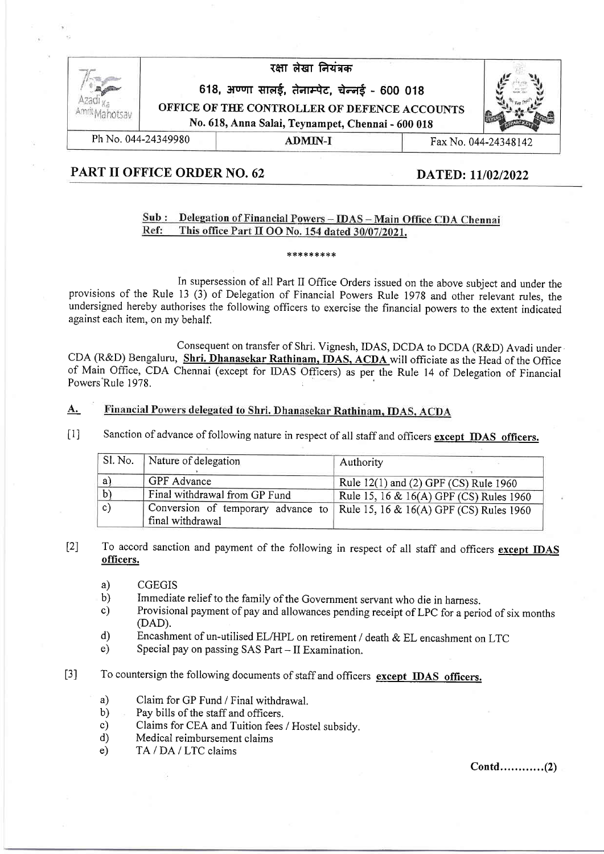|                     | रक्षा लेखा नियंत्रक<br>618, अण्णा सालई, तेनाम्पेट, चेन्नई - 600 018                               |         |  |                      |
|---------------------|---------------------------------------------------------------------------------------------------|---------|--|----------------------|
|                     |                                                                                                   |         |  |                      |
|                     | OFFICE OF THE CONTROLLER OF DEFENCE ACCOUNTS<br>No. 618, Anna Salai, Teynampet, Chennai - 600 018 |         |  |                      |
|                     |                                                                                                   |         |  |                      |
| Ph No. 044-24349980 |                                                                                                   | ADMIN-I |  | Fax No. 044-24348142 |

# PART II OFFICE ORDER NO. 62 DATED: 11/02/2022

### Sub: Delegation of Financial Powers - IDAS - Main Office CDA Chennai Ref: This office Part II OO No. 154 dated 30/07/2021.

### \*\*\*\*\*\*\*\*\*

In supersession of all Part II Office Orders issued on the above subject and under the provisions of the Rule 13 (3) of Delegation of Financial Powers Rule 1978 and other relevant rules, the undersigned hereby authorises the following officers to exercise the financial powers to the extent indicated against each item, on my behalf.

Consequent on transfer of Shri. Vignesh, IDAS, DCDA to DCDA (R&D) Avadi under CDA (R&D) Bengaluru, Shri. Dhanasekar Rathinam, IDAS, ACDA will officiate as the Head of the Office of Main Office, CDA Chennai (except for IDAS Officers) as per the Rule 14 of Delegation of Financial Powers'Rule 1978.

#### A. Financial Powers delegated to Shri. Dhanasekar Rathinam, IDAS, ACDA

 $[1]$ Sanction of advance of following nature in respect of all staff and officers except IDAS officers.

| SI. No.      | Nature of delegation          | Authority                                                                    |
|--------------|-------------------------------|------------------------------------------------------------------------------|
| a            | GPF Advance                   | Rule $12(1)$ and $(2)$ GPF $(CS)$ Rule 1960                                  |
|              | Final withdrawal from GP Fund | Rule 15, 16 & 16(A) GPF (CS) Rules 1960                                      |
| $\mathsf{c}$ | final withdrawal              | Conversion of temporary advance to   Rule 15, 16 & 16(A) GPF (CS) Rules 1960 |

[2] To accord sanction and payment of the following in respect of all staff and officers except IDAS officers.

- a) CGEGIS
- 
- b) Immediate relief to the family of the Government servant who die in harness. c) Provisional payment of pay and allowances pending receipt of LPC for a period of six months (DAD).
- d) Encashment of un-utilised EL/HPL on retirement / death & EL encashment on LTC e) Special pay on passing SAS Part II Examination.
- 
- [3] To countersign the following documents of staff and officers except IDAS officers.
	- a) Claim for GP Fund / Final withdrawal.
	- b) Pay bills of the staff and officers.
	- c) Claims for CEA and Tuition fees / Hostel subsidy. d) Medical reimbursement claims
	-
	- e) TA / DA / LTC claims

 $Contd$ ...............(2)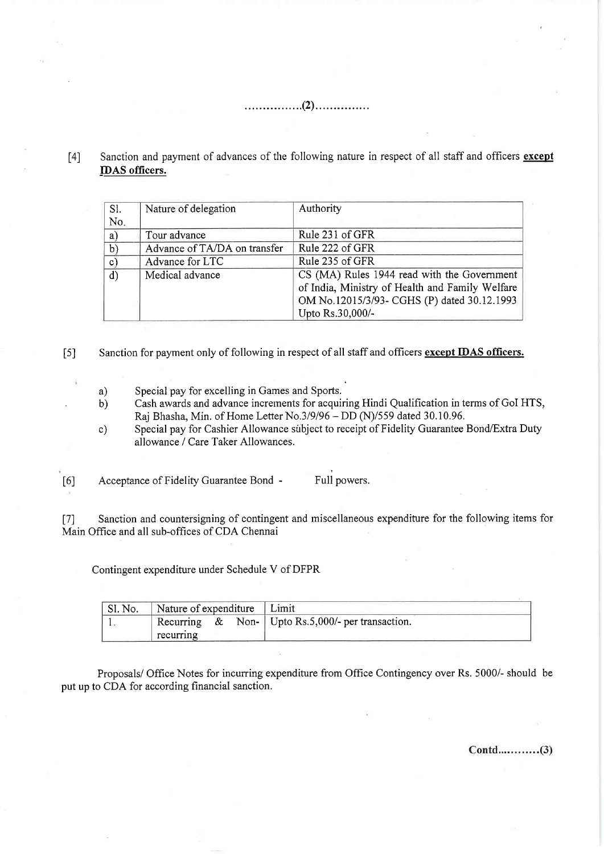(2)

[4] Sanction and payment of advances of the following nature in respect of all staff and officers except IDAS officers.

| SI.           | Nature of delegation         | Authority                                       |
|---------------|------------------------------|-------------------------------------------------|
| No.           |                              |                                                 |
| a)            | Tour advance                 | Rule 231 of GFR                                 |
| $\mathbf{b}$  | Advance of TA/DA on transfer | Rule 222 of GFR                                 |
| $\mathbf{c})$ | Advance for LTC              | Rule 235 of GFR                                 |
| $\mathbf{d}$  | Medical advance              | CS (MA) Rules 1944 read with the Government     |
|               |                              | of India, Ministry of Health and Family Welfare |
|               |                              | OM No.12015/3/93- CGHS (P) dated 30.12.1993     |
|               |                              | Upto Rs.30,000/-                                |

[5] Sanction for payment only of following in respect of all staff and officers except IDAS officers.

- a) Special pay for excelling in Games and Sports.
- b) Cash awards and advance increments for acquiring Hindi Qualification in terms of GoI HTS, Raj Bhasha, Min. of Home Letter No.3/9/96 - DD (N)/559 dated 30.10.96.
- c) Special pay for Cashier Allowance subject to receipt of Fidelity Guarantee Bond/Extra Duty allowance / Care Taker Allowances.

[6] Acceptance of Fidelity Guarantee Bond - Full powers.

17) Sanction and countersigning of contingent and miscellaneous expenditure for the following items for Main Office and all sub-offices of CDA Chennai

Contingent expenditure under Schedule V of DFPR

| "Sl. No. | Nature of expenditure Limit |  |                                                     |
|----------|-----------------------------|--|-----------------------------------------------------|
|          |                             |  | Recurring & Non-   Upto Rs.5,000/- per transaction. |
|          | recurring                   |  |                                                     |

Proposals/ Office Notes for incurring expenditure from Office Contingency over Rs. 5000/- should be put up to CDA for according financial sanction.

 $Contd$ ............(3)